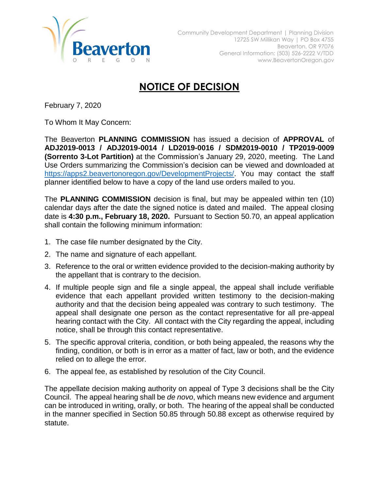

## **NOTICE OF DECISION**

February 7, 2020

To Whom It May Concern:

The Beaverton **PLANNING COMMISSION** has issued a decision of **APPROVAL** of **ADJ2019-0013 / ADJ2019-0014 / LD2019-0016 / SDM2019-0010 / TP2019-0009 (Sorrento 3-Lot Partition)** at the Commission's January 29, 2020, meeting. The Land Use Orders summarizing the Commission's decision can be viewed and downloaded at [https://apps2.beavertonoregon.gov/DevelopmentProjects/.](https://apps2.beavertonoregon.gov/DevelopmentProjects/) You may contact the staff planner identified below to have a copy of the land use orders mailed to you.

The **PLANNING COMMISSION** decision is final, but may be appealed within ten (10) calendar days after the date the signed notice is dated and mailed. The appeal closing date is **4:30 p.m., February 18, 2020.** Pursuant to Section 50.70, an appeal application shall contain the following minimum information:

- 1. The case file number designated by the City.
- 2. The name and signature of each appellant.
- 3. Reference to the oral or written evidence provided to the decision-making authority by the appellant that is contrary to the decision.
- 4. If multiple people sign and file a single appeal, the appeal shall include verifiable evidence that each appellant provided written testimony to the decision-making authority and that the decision being appealed was contrary to such testimony. The appeal shall designate one person as the contact representative for all pre-appeal hearing contact with the City. All contact with the City regarding the appeal, including notice, shall be through this contact representative.
- 5. The specific approval criteria, condition, or both being appealed, the reasons why the finding, condition, or both is in error as a matter of fact, law or both, and the evidence relied on to allege the error.
- 6. The appeal fee, as established by resolution of the City Council.

The appellate decision making authority on appeal of Type 3 decisions shall be the City Council. The appeal hearing shall be *de novo*, which means new evidence and argument can be introduced in writing, orally, or both. The hearing of the appeal shall be conducted in the manner specified in Section 50.85 through 50.88 except as otherwise required by statute.